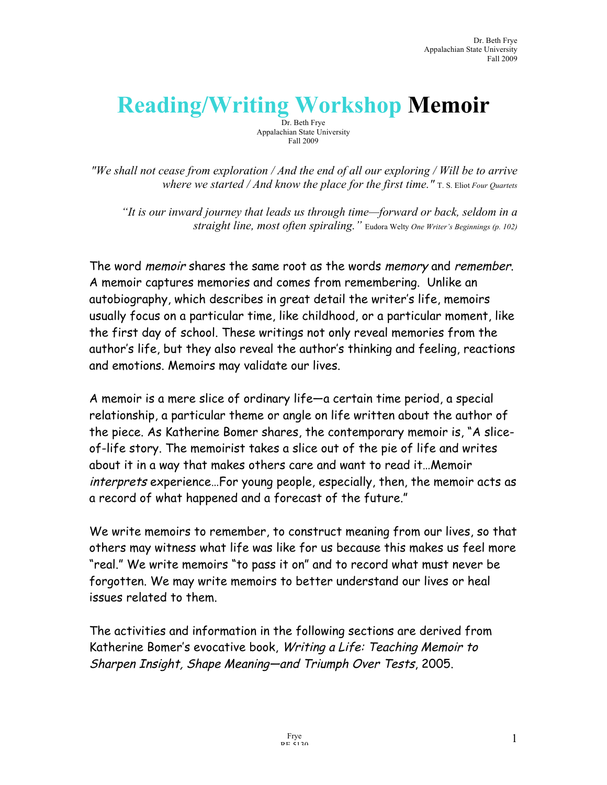# **Reading/Writing Workshop Memoir**

Dr. Beth Frye Appalachian State University Fall 2009

*"We shall not cease from exploration / And the end of all our exploring / Will be to arrive where we started / And know the place for the first time."* T. S. Eliot *Four Quartets*

*"It is our inward journey that leads us through time—forward or back, seldom in a straight line, most often spiraling."* Eudora Welty *One Writer's Beginnings (p. 102)*

The word memoir shares the same root as the words memory and remember. A memoir captures memories and comes from remembering. Unlike an autobiography, which describes in great detail the writer's life, memoirs usually focus on a particular time, like childhood, or a particular moment, like the first day of school. These writings not only reveal memories from the author's life, but they also reveal the author's thinking and feeling, reactions and emotions. Memoirs may validate our lives.

A memoir is a mere slice of ordinary life—a certain time period, a special relationship, a particular theme or angle on life written about the author of the piece. As Katherine Bomer shares, the contemporary memoir is, "A sliceof-life story. The memoirist takes a slice out of the pie of life and writes about it in a way that makes others care and want to read it…Memoir interprets experience…For young people, especially, then, the memoir acts as a record of what happened and a forecast of the future."

We write memoirs to remember, to construct meaning from our lives, so that others may witness what life was like for us because this makes us feel more "real." We write memoirs "to pass it on" and to record what must never be forgotten. We may write memoirs to better understand our lives or heal issues related to them.

The activities and information in the following sections are derived from Katherine Bomer's evocative book, Writing a Life: Teaching Memoir to Sharpen Insight, Shape Meaning—and Triumph Over Tests, 2005.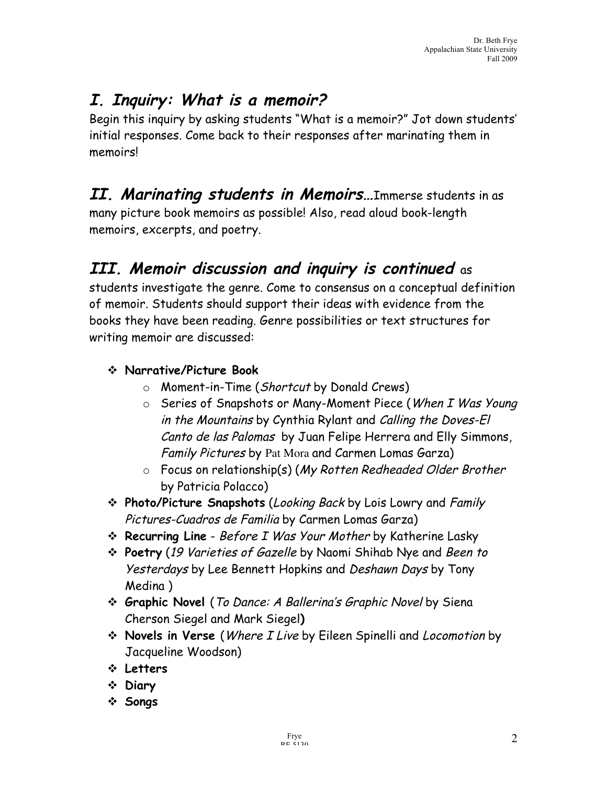### **I. Inquiry: What is a memoir?**

Begin this inquiry by asking students "What is a memoir?" Jot down students' initial responses. Come back to their responses after marinating them in memoirs!

### **II. Marinating students in Memoirs…**Immerse students in as

many picture book memoirs as possible! Also, read aloud book-length memoirs, excerpts, and poetry.

### **III. Memoir discussion and inquiry is continued** as

students investigate the genre. Come to consensus on a conceptual definition of memoir. Students should support their ideas with evidence from the books they have been reading. Genre possibilities or text structures for writing memoir are discussed:

#### **Narrative/Picture Book**

- o Moment-in-Time (Shortcut by Donald Crews)
- o Series of Snapshots or Many-Moment Piece (When I Was Young in the Mountains by Cynthia Rylant and Calling the Doves-El Canto de las Palomas by Juan Felipe Herrera and Elly Simmons, Family Pictures by Pat Mora and Carmen Lomas Garza)
- o Focus on relationship(s) (My Rotten Redheaded Older Brother by Patricia Polacco)
- **Photo/Picture Snapshots** (Looking Back by Lois Lowry and Family Pictures-Cuadros de Familia by Carmen Lomas Garza)
- **Recurring Line** Before I Was Your Mother by Katherine Lasky
- **Poetry** (19 Varieties of Gazelle by Naomi Shihab Nye and Been to Yesterdays by Lee Bennett Hopkins and Deshawn Days by Tony Medina )
- **Graphic Novel** (To Dance: A Ballerina's Graphic Novel by Siena Cherson Siegel and Mark Siegel**)**
- **Novels in Verse** (Where I Live by Eileen Spinelli and Locomotion by Jacqueline Woodson)
- **Letters**
- **Diary**
- **Songs**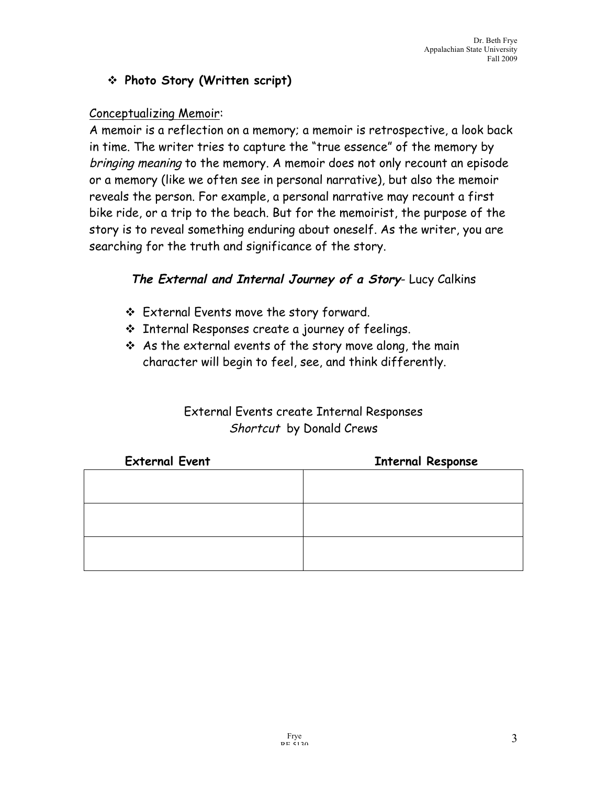#### **Photo Story (Written script)**

#### Conceptualizing Memoir:

A memoir is a reflection on a memory; a memoir is retrospective, a look back in time. The writer tries to capture the "true essence" of the memory by bringing meaning to the memory. A memoir does not only recount an episode or a memory (like we often see in personal narrative), but also the memoir reveals the person. For example, a personal narrative may recount a first bike ride, or a trip to the beach. But for the memoirist, the purpose of the story is to reveal something enduring about oneself. As the writer, you are searching for the truth and significance of the story.

#### **The External and Internal Journey of a Story**- Lucy Calkins

- External Events move the story forward.
- Internal Responses create a journey of feelings.
- $\div$  As the external events of the story move along, the main character will begin to feel, see, and think differently.

#### External Events create Internal Responses Shortcut by Donald Crews

| <b>External Event</b> | <b>Internal Response</b> |
|-----------------------|--------------------------|
|                       |                          |
|                       |                          |
|                       |                          |
|                       |                          |
|                       |                          |
|                       |                          |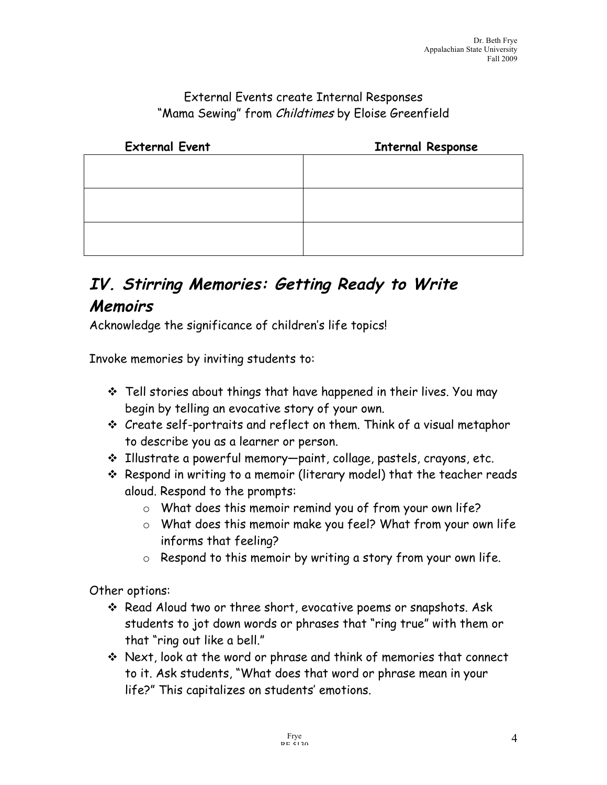#### External Events create Internal Responses "Mama Sewing" from Childtimes by Eloise Greenfield

| <b>External Event</b> | <b>Internal Response</b> |
|-----------------------|--------------------------|
|                       |                          |
|                       |                          |
|                       |                          |
|                       |                          |
|                       |                          |
|                       |                          |

### **IV. Stirring Memories: Getting Ready to Write Memoirs**

Acknowledge the significance of children's life topics!

Invoke memories by inviting students to:

- $\cdot$  Tell stories about things that have happened in their lives. You may begin by telling an evocative story of your own.
- Create self-portraits and reflect on them. Think of a visual metaphor to describe you as a learner or person.
- Illustrate a powerful memory—paint, collage, pastels, crayons, etc.
- Respond in writing to a memoir (literary model) that the teacher reads aloud. Respond to the prompts:
	- o What does this memoir remind you of from your own life?
	- o What does this memoir make you feel? What from your own life informs that feeling?
	- o Respond to this memoir by writing a story from your own life.

Other options:

- Read Aloud two or three short, evocative poems or snapshots. Ask students to jot down words or phrases that "ring true" with them or that "ring out like a bell."
- Next, look at the word or phrase and think of memories that connect to it. Ask students, "What does that word or phrase mean in your life?" This capitalizes on students' emotions.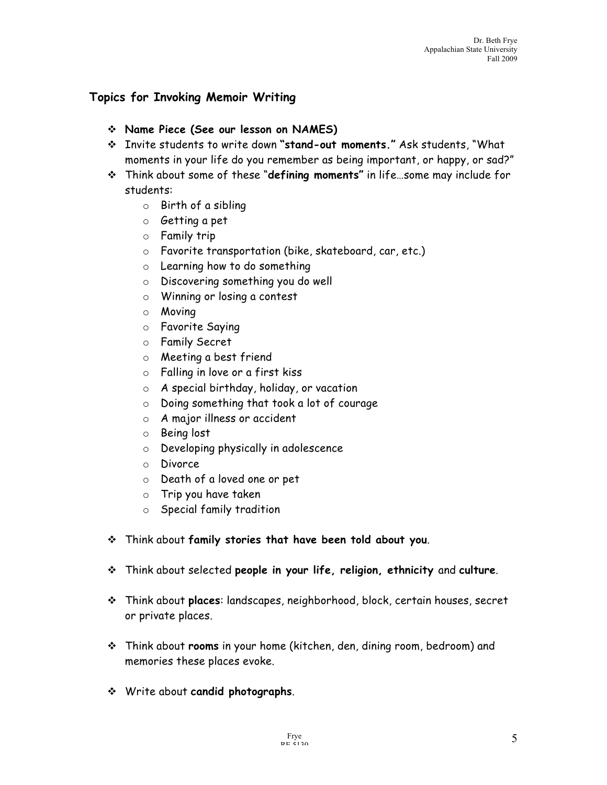#### **Topics for Invoking Memoir Writing**

- **Name Piece (See our lesson on NAMES)**
- Invite students to write down **"stand-out moments."** Ask students, "What moments in your life do you remember as being important, or happy, or sad?"
- Think about some of these "**defining moments"** in life…some may include for students:
	- o Birth of a sibling
	- o Getting a pet
	- o Family trip
	- o Favorite transportation (bike, skateboard, car, etc.)
	- o Learning how to do something
	- o Discovering something you do well
	- o Winning or losing a contest
	- o Moving
	- o Favorite Saying
	- o Family Secret
	- o Meeting a best friend
	- o Falling in love or a first kiss
	- o A special birthday, holiday, or vacation
	- o Doing something that took a lot of courage
	- o A major illness or accident
	- o Being lost
	- o Developing physically in adolescence
	- o Divorce
	- o Death of a loved one or pet
	- o Trip you have taken
	- o Special family tradition
- Think about **family stories that have been told about you**.
- Think about selected **people in your life, religion, ethnicity** and **culture**.
- Think about **places**: landscapes, neighborhood, block, certain houses, secret or private places.
- Think about **rooms** in your home (kitchen, den, dining room, bedroom) and memories these places evoke.
- Write about **candid photographs**.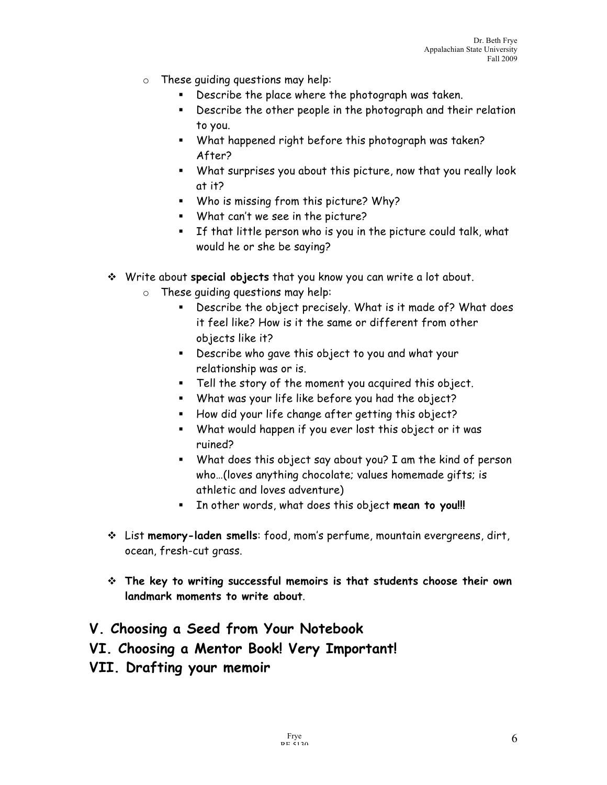- o These guiding questions may help:
	- Describe the place where the photograph was taken.
	- Describe the other people in the photograph and their relation to you.
	- What happened right before this photograph was taken? After?
	- What surprises you about this picture, now that you really look at it?
	- Who is missing from this picture? Why?
	- What can't we see in the picture?
	- If that little person who is you in the picture could talk, what would he or she be saying?
- Write about **special objects** that you know you can write a lot about.
	- o These guiding questions may help:
		- Describe the object precisely. What is it made of? What does it feel like? How is it the same or different from other objects like it?
		- Describe who gave this object to you and what your relationship was or is.
		- Tell the story of the moment you acquired this object.
		- What was your life like before you had the object?
		- How did your life change after getting this object?
		- What would happen if you ever lost this object or it was ruined?
		- What does this object say about you? I am the kind of person who…(loves anything chocolate; values homemade gifts; is athletic and loves adventure)
		- In other words, what does this object **mean to you!!!**
- List **memory-laden smells**: food, mom's perfume, mountain evergreens, dirt, ocean, fresh-cut grass.
- **The key to writing successful memoirs is that students choose their own landmark moments to write about**.
- **V. Choosing a Seed from Your Notebook**
- **VI. Choosing a Mentor Book! Very Important!**
- **VII. Drafting your memoir**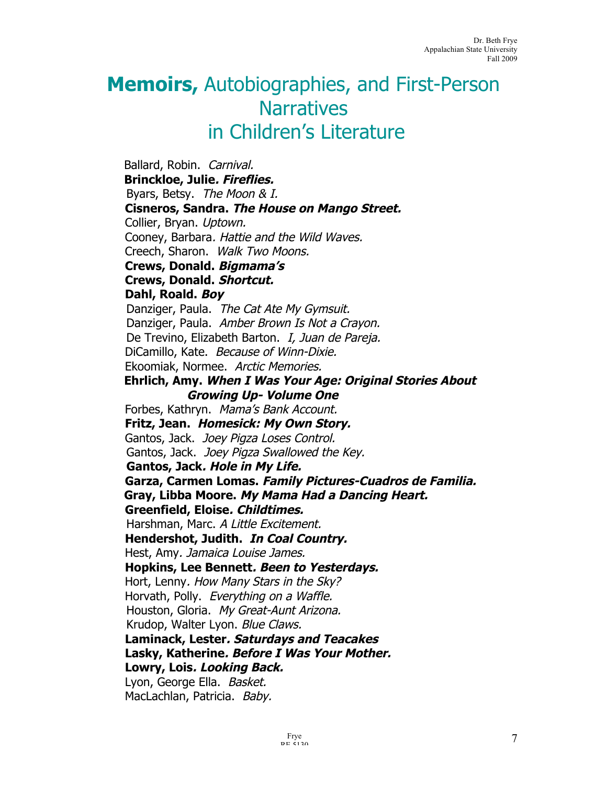## **Memoirs,** Autobiographies, and First-Person **Narratives** in Children's Literature

Ballard, Robin. Carnival.  **Brinckloe, Julie. Fireflies.** Byars, Betsy. The Moon & I. **Cisneros, Sandra. The House on Mango Street.** Collier, Bryan. Uptown. Cooney, Barbara. Hattie and the Wild Waves. Creech, Sharon. Walk Two Moons. **Crews, Donald. Bigmama's Crews, Donald. Shortcut. Dahl, Roald. Boy** Danziger, Paula. The Cat Ate My Gymsuit. Danziger, Paula. Amber Brown Is Not a Crayon. De Trevino, Elizabeth Barton. I, Juan de Pareja. DiCamillo, Kate. Because of Winn-Dixie. Ekoomiak, Normee. Arctic Memories.  **Ehrlich, Amy. When I Was Your Age: Original Stories About Growing Up- Volume One** Forbes, Kathryn. Mama's Bank Account. **Fritz, Jean. Homesick: My Own Story.** Gantos, Jack. Joey Pigza Loses Control. Gantos, Jack. Joey Pigza Swallowed the Key. **Gantos, Jack. Hole in My Life. Garza, Carmen Lomas. Family Pictures-Cuadros de Familia. Gray, Libba Moore. My Mama Had a Dancing Heart. Greenfield, Eloise. Childtimes.** Harshman, Marc. A Little Excitement. **Hendershot, Judith. In Coal Country.** Hest, Amy. Jamaica Louise James. **Hopkins, Lee Bennett. Been to Yesterdays.** Hort, Lenny. How Many Stars in the Sky? Horvath, Polly. Everything on a Waffle. Houston, Gloria. My Great-Aunt Arizona. Krudop, Walter Lyon. Blue Claws. **Laminack, Lester. Saturdays and Teacakes Lasky, Katherine. Before I Was Your Mother. Lowry, Lois. Looking Back.** Lyon, George Ella. Basket. MacLachlan, Patricia. Baby.